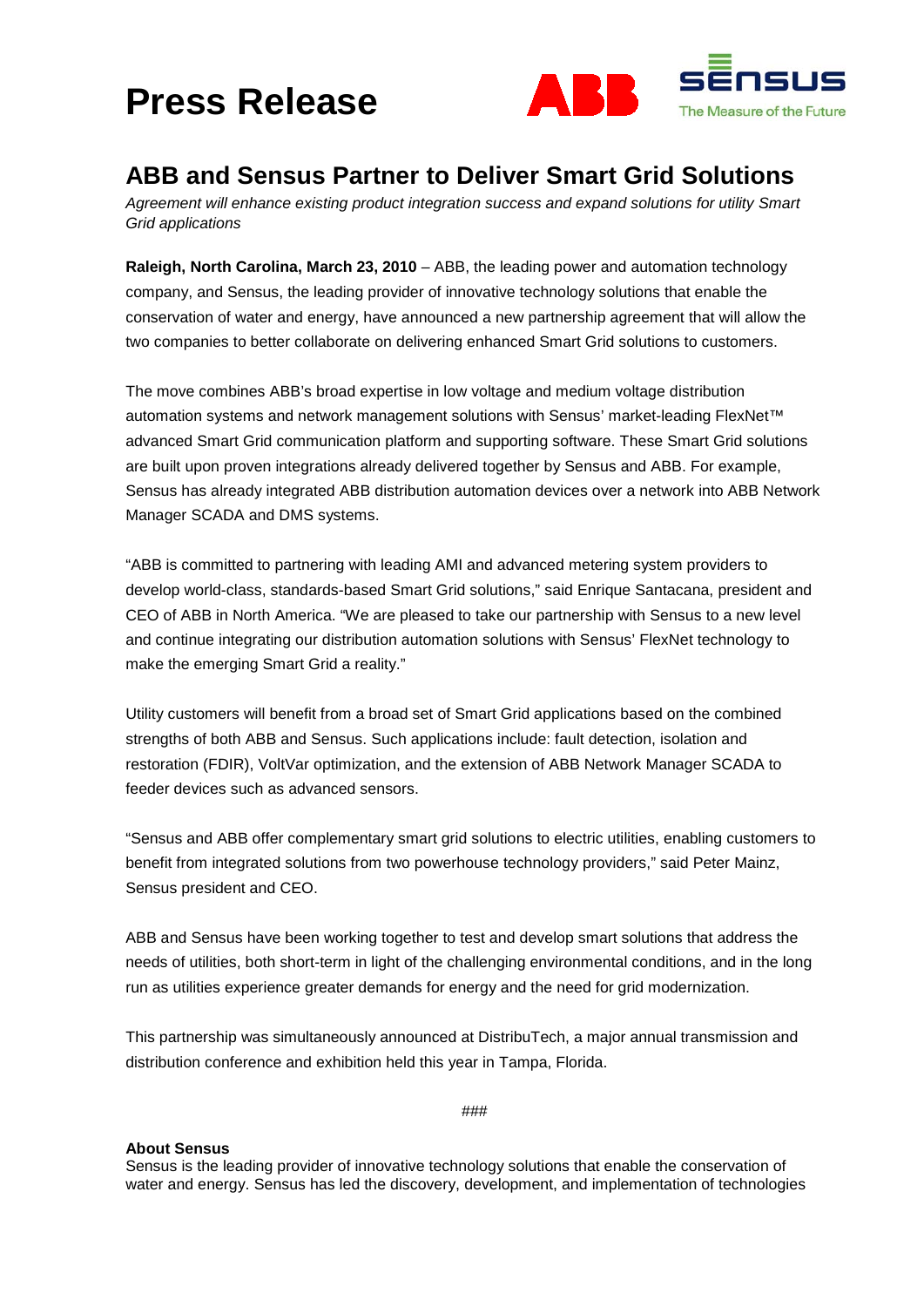# **Press Release**



### **ABB and Sensus Partner to Deliver Smart Grid Solutions**

*Agreement will enhance existing product integration success and expand solutions for utility Smart Grid applications*

**Raleigh, North Carolina, March 23, 2010** – ABB, the leading power and automation technology company, and Sensus, the leading provider of innovative technology solutions that enable the conservation of water and energy, have announced a new partnership agreement that will allow the two companies to better collaborate on delivering enhanced Smart Grid solutions to customers.

The move combines ABB's broad expertise in low voltage and medium voltage distribution automation systems and network management solutions with Sensus' market-leading FlexNet™ advanced Smart Grid communication platform and supporting software. These Smart Grid solutions are built upon proven integrations already delivered together by Sensus and ABB. For example, Sensus has already integrated ABB distribution automation devices over a network into ABB Network Manager SCADA and DMS systems.

"ABB is committed to partnering with leading AMI and advanced metering system providers to develop world-class, standards-based Smart Grid solutions," said Enrique Santacana, president and CEO of ABB in North America. "We are pleased to take our partnership with Sensus to a new level and continue integrating our distribution automation solutions with Sensus' FlexNet technology to make the emerging Smart Grid a reality."

Utility customers will benefit from a broad set of Smart Grid applications based on the combined strengths of both ABB and Sensus. Such applications include: fault detection, isolation and restoration (FDIR), VoltVar optimization, and the extension of ABB Network Manager SCADA to feeder devices such as advanced sensors.

"Sensus and ABB offer complementary smart grid solutions to electric utilities, enabling customers to benefit from integrated solutions from two powerhouse technology providers," said Peter Mainz, Sensus president and CEO.

ABB and Sensus have been working together to test and develop smart solutions that address the needs of utilities, both short-term in light of the challenging environmental conditions, and in the long run as utilities experience greater demands for energy and the need for grid modernization.

This partnership was simultaneously announced at DistribuTech, a major annual transmission and distribution conference and exhibition held this year in Tampa, Florida.

###

#### **About Sensus**

Sensus is the leading provider of innovative technology solutions that enable the conservation of water and energy. Sensus has led the discovery, development, and implementation of technologies